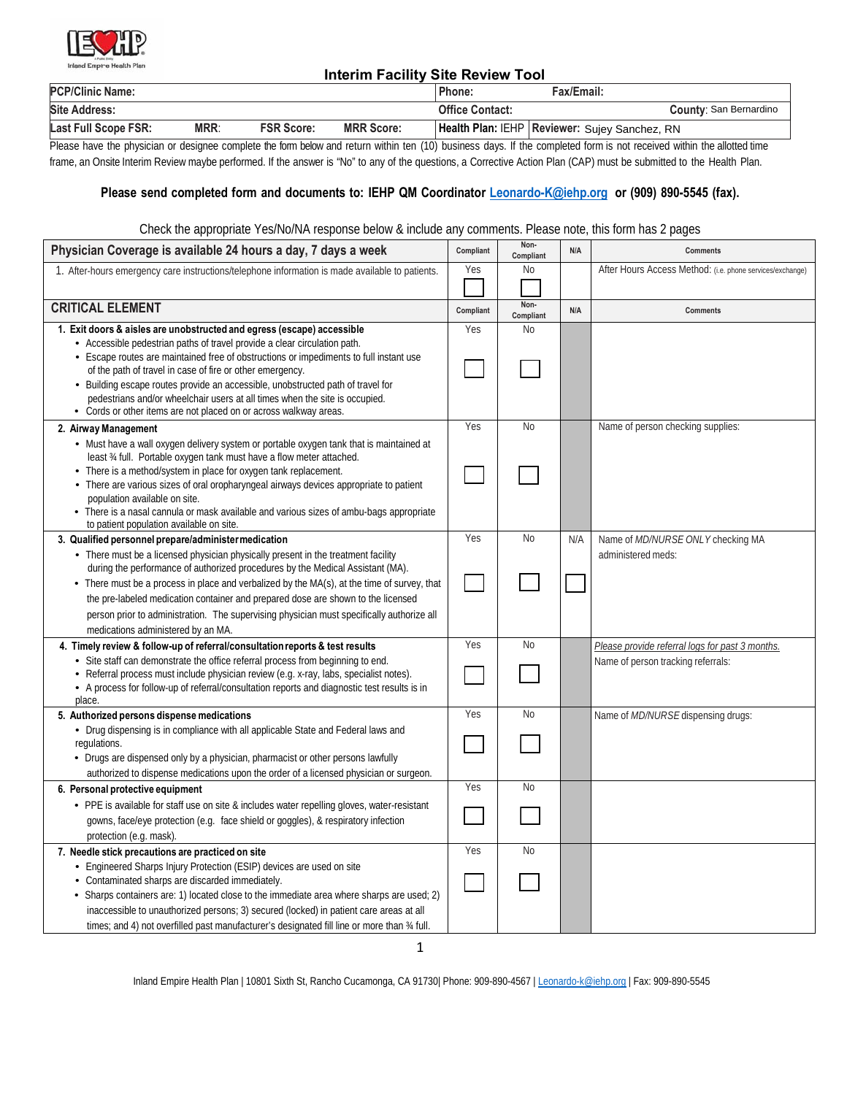

# **Interim Facility Site Review Tool**

| <b>PCP/Clinic Name:</b> |             |                   |                   | Phone:                 | Fax/Email:                                      |                               |
|-------------------------|-------------|-------------------|-------------------|------------------------|-------------------------------------------------|-------------------------------|
| <b>Site Address:</b>    |             |                   |                   | <b>Office Contact:</b> |                                                 | <b>County: San Bernardino</b> |
| Last Full Scope FSR:    | <b>MRR:</b> | <b>FSR Score:</b> | <b>MRR Score:</b> |                        | Health Plan: IEHP   Reviewer: Sujey Sanchez, RN |                               |

Please have the physician or designee complete the form below and return within ten (10) business days. If the completed form is not received within the allotted time frame, an Onsite Interim Review maybe performed. If the answer is "No" to any of the questions, a Corrective Action Plan (CAP) must be submitted to the Health Plan.

### Please send completed form and documents to: IEHP QM Coordinator *Leonardo-K@iehp.org* or (909) 890-5545 (fax).

#### Check the appropriate Yes/No/NA response below & include any comments. Please note, this form has 2 pages

| Physician Coverage is available 24 hours a day, 7 days a week                                                                                                                          | Compliant | Non-<br>Compliant | N/A | <b>Comments</b>                                           |
|----------------------------------------------------------------------------------------------------------------------------------------------------------------------------------------|-----------|-------------------|-----|-----------------------------------------------------------|
| 1. After-hours emergency care instructions/telephone information is made available to patients.                                                                                        | Yes       | No                |     | After Hours Access Method: (i.e. phone services/exchange) |
|                                                                                                                                                                                        |           |                   |     |                                                           |
| <b>CRITICAL ELEMENT</b>                                                                                                                                                                | Compliant | Non-<br>Compliant | N/A | <b>Comments</b>                                           |
| 1. Exit doors & aisles are unobstructed and egress (escape) accessible                                                                                                                 | Yes       | <b>No</b>         |     |                                                           |
| • Accessible pedestrian paths of travel provide a clear circulation path.                                                                                                              |           |                   |     |                                                           |
| • Escape routes are maintained free of obstructions or impediments to full instant use<br>of the path of travel in case of fire or other emergency.                                    |           |                   |     |                                                           |
| • Building escape routes provide an accessible, unobstructed path of travel for                                                                                                        |           |                   |     |                                                           |
| pedestrians and/or wheelchair users at all times when the site is occupied.                                                                                                            |           |                   |     |                                                           |
| • Cords or other items are not placed on or across walkway areas.                                                                                                                      |           |                   |     |                                                           |
| 2. Airway Management                                                                                                                                                                   | Yes       | <b>No</b>         |     | Name of person checking supplies:                         |
| • Must have a wall oxygen delivery system or portable oxygen tank that is maintained at                                                                                                |           |                   |     |                                                           |
| least 34 full. Portable oxygen tank must have a flow meter attached.<br>• There is a method/system in place for oxygen tank replacement.                                               |           |                   |     |                                                           |
| • There are various sizes of oral oropharyngeal airways devices appropriate to patient                                                                                                 |           |                   |     |                                                           |
| population available on site.                                                                                                                                                          |           |                   |     |                                                           |
| • There is a nasal cannula or mask available and various sizes of ambu-bags appropriate                                                                                                |           |                   |     |                                                           |
| to patient population available on site.                                                                                                                                               | Yes       | <b>No</b>         |     |                                                           |
| 3. Qualified personnel prepare/administer medication<br>• There must be a licensed physician physically present in the treatment facility                                              |           |                   | N/A | Name of MD/NURSE ONLY checking MA<br>administered meds:   |
| during the performance of authorized procedures by the Medical Assistant (MA).                                                                                                         |           |                   |     |                                                           |
| • There must be a process in place and verbalized by the MA(s), at the time of survey, that                                                                                            |           |                   |     |                                                           |
| the pre-labeled medication container and prepared dose are shown to the licensed                                                                                                       |           |                   |     |                                                           |
| person prior to administration. The supervising physician must specifically authorize all                                                                                              |           |                   |     |                                                           |
| medications administered by an MA.                                                                                                                                                     |           |                   |     |                                                           |
| 4. Timely review & follow-up of referral/consultation reports & test results                                                                                                           | Yes       | <b>No</b>         |     | Please provide referral logs for past 3 months.           |
| - Site staff can demonstrate the office referral process from beginning to end.                                                                                                        |           |                   |     | Name of person tracking referrals:                        |
| • Referral process must include physician review (e.g. x-ray, labs, specialist notes).<br>• A process for follow-up of referral/consultation reports and diagnostic test results is in |           |                   |     |                                                           |
| place.                                                                                                                                                                                 |           |                   |     |                                                           |
| 5. Authorized persons dispense medications                                                                                                                                             | Yes       | <b>No</b>         |     | Name of <i>MD/NURSE</i> dispensing drugs:                 |
| • Drug dispensing is in compliance with all applicable State and Federal laws and                                                                                                      |           |                   |     |                                                           |
| regulations.                                                                                                                                                                           |           |                   |     |                                                           |
| • Drugs are dispensed only by a physician, pharmacist or other persons lawfully<br>authorized to dispense medications upon the order of a licensed physician or surgeon.               |           |                   |     |                                                           |
| 6. Personal protective equipment                                                                                                                                                       | Yes       | <b>No</b>         |     |                                                           |
| • PPE is available for staff use on site & includes water repelling gloves, water-resistant                                                                                            |           |                   |     |                                                           |
| gowns, face/eye protection (e.g. face shield or goggles), & respiratory infection                                                                                                      |           |                   |     |                                                           |
| protection (e.g. mask).                                                                                                                                                                |           |                   |     |                                                           |
| 7. Needle stick precautions are practiced on site                                                                                                                                      | Yes       | <b>No</b>         |     |                                                           |
| • Engineered Sharps Injury Protection (ESIP) devices are used on site                                                                                                                  |           |                   |     |                                                           |
| • Contaminated sharps are discarded immediately.                                                                                                                                       |           |                   |     |                                                           |
| • Sharps containers are: 1) located close to the immediate area where sharps are used; 2)                                                                                              |           |                   |     |                                                           |
| inaccessible to unauthorized persons; 3) secured (locked) in patient care areas at all                                                                                                 |           |                   |     |                                                           |
| times; and 4) not overfilled past manufacturer's designated fill line or more than 34 full.                                                                                            |           |                   |     |                                                           |

Inland Empire Health Plan | 10801 Sixth St, Rancho Cucamonga, CA 91730| Phone: 909-890-4567 | Leonardo-k@iehp.org | Fax: 909-890-5545